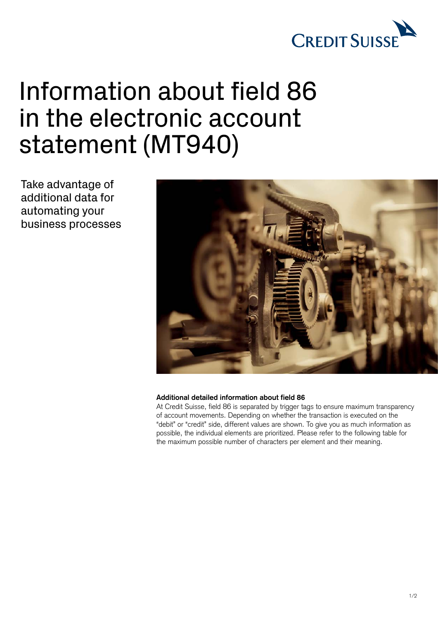

## Information about field 86 in the electronic account statement (MT940)

Take advantage of additional data for automating your business processes



## **Additional detailed information about field 86**

At Credit Suisse, field 86 is separated by trigger tags to ensure maximum transparency of account movements. Depending on whether the transaction is executed on the "debit" or "credit" side, different values are shown. To give you as much information as possible, the individual elements are prioritized. Please refer to the following table for the maximum possible number of characters per element and their meaning.